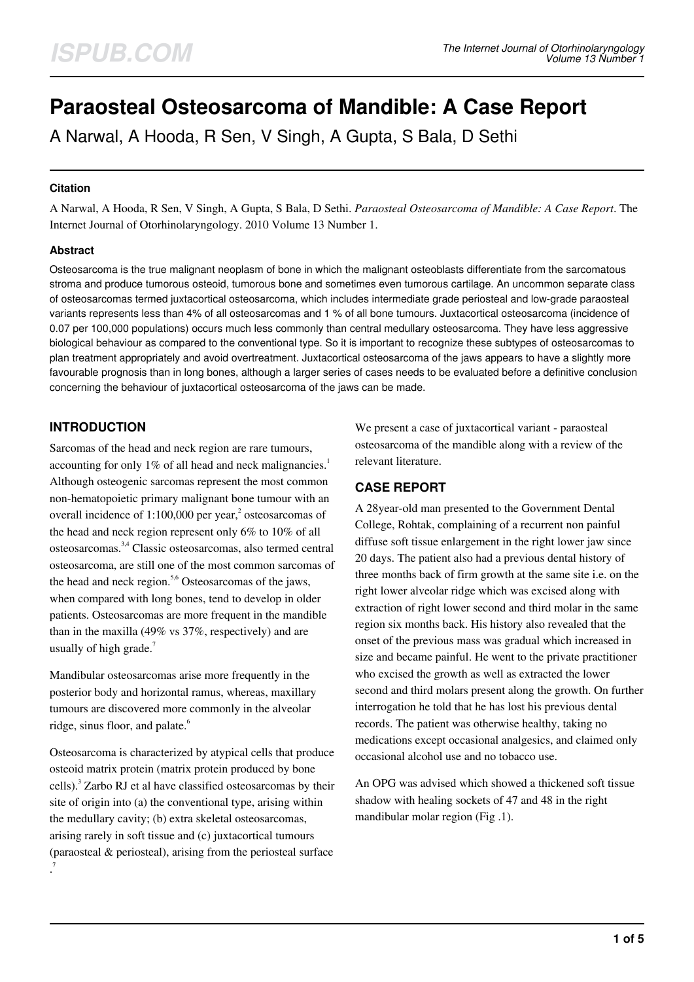# **Paraosteal Osteosarcoma of Mandible: A Case Report**

A Narwal, A Hooda, R Sen, V Singh, A Gupta, S Bala, D Sethi

## **Citation**

A Narwal, A Hooda, R Sen, V Singh, A Gupta, S Bala, D Sethi. *Paraosteal Osteosarcoma of Mandible: A Case Report*. The Internet Journal of Otorhinolaryngology. 2010 Volume 13 Number 1.

## **Abstract**

Osteosarcoma is the true malignant neoplasm of bone in which the malignant osteoblasts differentiate from the sarcomatous stroma and produce tumorous osteoid, tumorous bone and sometimes even tumorous cartilage. An uncommon separate class of osteosarcomas termed juxtacortical osteosarcoma, which includes intermediate grade periosteal and low-grade paraosteal variants represents less than 4% of all osteosarcomas and 1 % of all bone tumours. Juxtacortical osteosarcoma (incidence of 0.07 per 100,000 populations) occurs much less commonly than central medullary osteosarcoma. They have less aggressive biological behaviour as compared to the conventional type. So it is important to recognize these subtypes of osteosarcomas to plan treatment appropriately and avoid overtreatment. Juxtacortical osteosarcoma of the jaws appears to have a slightly more favourable prognosis than in long bones, although a larger series of cases needs to be evaluated before a definitive conclusion concerning the behaviour of juxtacortical osteosarcoma of the jaws can be made.

# **INTRODUCTION**

Sarcomas of the head and neck region are rare tumours, accounting for only 1% of all head and neck malignancies.<sup>1</sup> Although osteogenic sarcomas represent the most common non-hematopoietic primary malignant bone tumour with an overall incidence of 1:100,000 per year,<sup>2</sup> osteosarcomas of the head and neck region represent only 6% to 10% of all osteosarcomas.3,4 Classic osteosarcomas, also termed central osteosarcoma, are still one of the most common sarcomas of the head and neck region.<sup>5,6</sup> Osteosarcomas of the jaws, when compared with long bones, tend to develop in older patients. Osteosarcomas are more frequent in the mandible than in the maxilla (49% vs 37%, respectively) and are usually of high grade.<sup>7</sup>

Mandibular osteosarcomas arise more frequently in the posterior body and horizontal ramus, whereas, maxillary tumours are discovered more commonly in the alveolar ridge, sinus floor, and palate.<sup>6</sup>

Osteosarcoma is characterized by atypical cells that produce osteoid matrix protein (matrix protein produced by bone cells).<sup>3</sup> Zarbo RJ et al have classified osteosarcomas by their site of origin into (a) the conventional type, arising within the medullary cavity; (b) extra skeletal osteosarcomas, arising rarely in soft tissue and (c) juxtacortical tumours (paraosteal  $\&$  periosteal), arising from the periosteal surface . 7

We present a case of juxtacortical variant - paraosteal osteosarcoma of the mandible along with a review of the relevant literature.

# **CASE REPORT**

A 28year-old man presented to the Government Dental College, Rohtak, complaining of a recurrent non painful diffuse soft tissue enlargement in the right lower jaw since 20 days. The patient also had a previous dental history of three months back of firm growth at the same site i.e. on the right lower alveolar ridge which was excised along with extraction of right lower second and third molar in the same region six months back. His history also revealed that the onset of the previous mass was gradual which increased in size and became painful. He went to the private practitioner who excised the growth as well as extracted the lower second and third molars present along the growth. On further interrogation he told that he has lost his previous dental records. The patient was otherwise healthy, taking no medications except occasional analgesics, and claimed only occasional alcohol use and no tobacco use.

An OPG was advised which showed a thickened soft tissue shadow with healing sockets of 47 and 48 in the right mandibular molar region (Fig .1).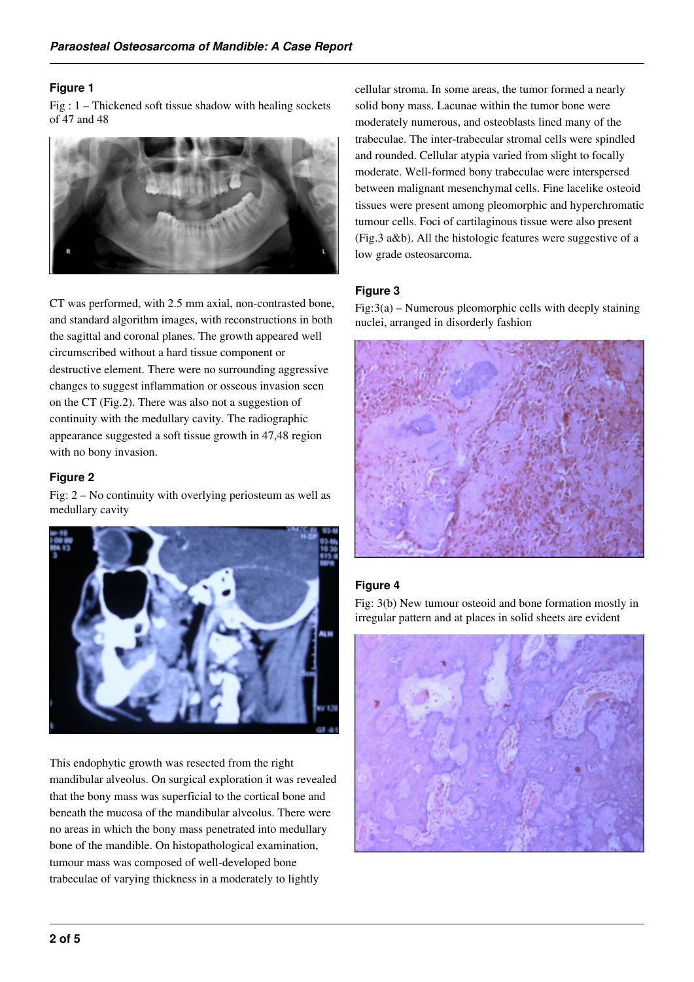## **Figure 1**

Fig : 1 – Thickened soft tissue shadow with healing sockets of 47 and 48



CT was performed, with 2.5 mm axial, non-contrasted bone, and standard algorithm images, with reconstructions in both the sagittal and coronal planes. The growth appeared well circumscribed without a hard tissue component or destructive element. There were no surrounding aggressive changes to suggest inflammation or osseous invasion seen on the CT (Fig.2). There was also not a suggestion of continuity with the medullary cavity. The radiographic appearance suggested a soft tissue growth in 47,48 region with no bony invasion.

## **Figure 2**

Fig: 2 – No continuity with overlying periosteum as well as medullary cavity



This endophytic growth was resected from the right mandibular alveolus. On surgical exploration it was revealed that the bony mass was superficial to the cortical bone and beneath the mucosa of the mandibular alveolus. There were no areas in which the bony mass penetrated into medullary bone of the mandible. On histopathological examination, tumour mass was composed of well-developed bone trabeculae of varying thickness in a moderately to lightly

cellular stroma. In some areas, the tumor formed a nearly solid bony mass. Lacunae within the tumor bone were moderately numerous, and osteoblasts lined many of the trabeculae. The inter-trabecular stromal cells were spindled and rounded. Cellular atypia varied from slight to focally moderate. Well-formed bony trabeculae were interspersed between malignant mesenchymal cells. Fine lacelike osteoid tissues were present among pleomorphic and hyperchromatic tumour cells. Foci of cartilaginous tissue were also present (Fig.3 a&b). All the histologic features were suggestive of a low grade osteosarcoma.

# **Figure 3**

Fig: $3(a)$  – Numerous pleomorphic cells with deeply staining nuclei, arranged in disorderly fashion



# **Figure 4**

Fig: 3(b) New tumour osteoid and bone formation mostly in irregular pattern and at places in solid sheets are evident

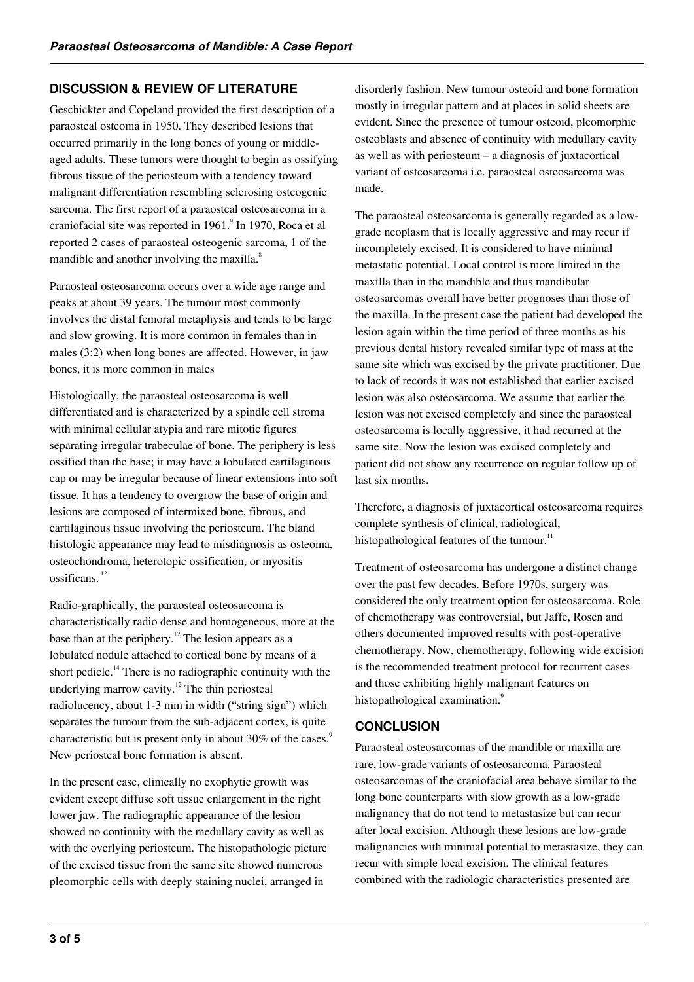# **DISCUSSION & REVIEW OF LITERATURE**

Geschickter and Copeland provided the first description of a paraosteal osteoma in 1950. They described lesions that occurred primarily in the long bones of young or middleaged adults. These tumors were thought to begin as ossifying fibrous tissue of the periosteum with a tendency toward malignant differentiation resembling sclerosing osteogenic sarcoma. The first report of a paraosteal osteosarcoma in a craniofacial site was reported in 1961.<sup>9</sup> In 1970, Roca et al reported 2 cases of paraosteal osteogenic sarcoma, 1 of the mandible and another involving the maxilla.<sup>8</sup>

Paraosteal osteosarcoma occurs over a wide age range and peaks at about 39 years. The tumour most commonly involves the distal femoral metaphysis and tends to be large and slow growing. It is more common in females than in males (3:2) when long bones are affected. However, in jaw bones, it is more common in males

Histologically, the paraosteal osteosarcoma is well differentiated and is characterized by a spindle cell stroma with minimal cellular atypia and rare mitotic figures separating irregular trabeculae of bone. The periphery is less ossified than the base; it may have a lobulated cartilaginous cap or may be irregular because of linear extensions into soft tissue. It has a tendency to overgrow the base of origin and lesions are composed of intermixed bone, fibrous, and cartilaginous tissue involving the periosteum. The bland histologic appearance may lead to misdiagnosis as osteoma, osteochondroma, heterotopic ossification, or myositis ossificans.<sup>12</sup>

Radio-graphically, the paraosteal osteosarcoma is characteristically radio dense and homogeneous, more at the base than at the periphery.<sup>12</sup> The lesion appears as a lobulated nodule attached to cortical bone by means of a short pedicle.<sup>14</sup> There is no radiographic continuity with the underlying marrow cavity.<sup>12</sup> The thin periosteal radiolucency, about 1-3 mm in width ("string sign") which separates the tumour from the sub-adjacent cortex, is quite characteristic but is present only in about 30% of the cases.<sup>9</sup> New periosteal bone formation is absent.

In the present case, clinically no exophytic growth was evident except diffuse soft tissue enlargement in the right lower jaw. The radiographic appearance of the lesion showed no continuity with the medullary cavity as well as with the overlying periosteum. The histopathologic picture of the excised tissue from the same site showed numerous pleomorphic cells with deeply staining nuclei, arranged in

disorderly fashion. New tumour osteoid and bone formation mostly in irregular pattern and at places in solid sheets are evident. Since the presence of tumour osteoid, pleomorphic osteoblasts and absence of continuity with medullary cavity as well as with periosteum – a diagnosis of juxtacortical variant of osteosarcoma i.e. paraosteal osteosarcoma was made.

The paraosteal osteosarcoma is generally regarded as a lowgrade neoplasm that is locally aggressive and may recur if incompletely excised. It is considered to have minimal metastatic potential. Local control is more limited in the maxilla than in the mandible and thus mandibular osteosarcomas overall have better prognoses than those of the maxilla. In the present case the patient had developed the lesion again within the time period of three months as his previous dental history revealed similar type of mass at the same site which was excised by the private practitioner. Due to lack of records it was not established that earlier excised lesion was also osteosarcoma. We assume that earlier the lesion was not excised completely and since the paraosteal osteosarcoma is locally aggressive, it had recurred at the same site. Now the lesion was excised completely and patient did not show any recurrence on regular follow up of last six months.

Therefore, a diagnosis of juxtacortical osteosarcoma requires complete synthesis of clinical, radiological, histopathological features of the tumour. $11$ 

Treatment of osteosarcoma has undergone a distinct change over the past few decades. Before 1970s, surgery was considered the only treatment option for osteosarcoma. Role of chemotherapy was controversial, but Jaffe, Rosen and others documented improved results with post-operative chemotherapy. Now, chemotherapy, following wide excision is the recommended treatment protocol for recurrent cases and those exhibiting highly malignant features on histopathological examination.<sup>9</sup>

# **CONCLUSION**

Paraosteal osteosarcomas of the mandible or maxilla are rare, low-grade variants of osteosarcoma. Paraosteal osteosarcomas of the craniofacial area behave similar to the long bone counterparts with slow growth as a low-grade malignancy that do not tend to metastasize but can recur after local excision. Although these lesions are low-grade malignancies with minimal potential to metastasize, they can recur with simple local excision. The clinical features combined with the radiologic characteristics presented are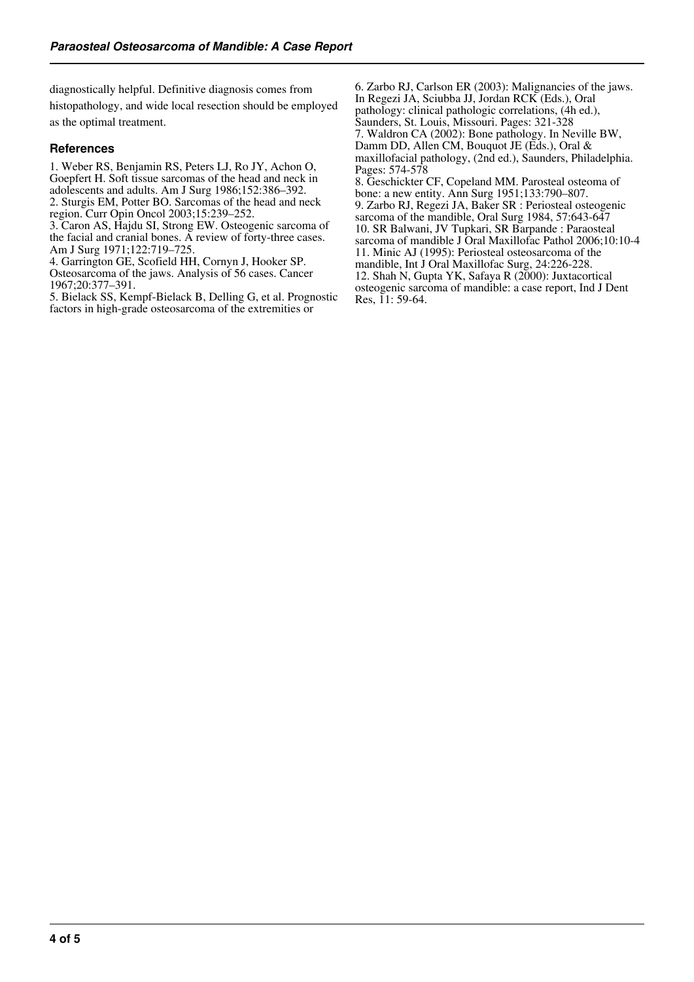diagnostically helpful. Definitive diagnosis comes from histopathology, and wide local resection should be employed as the optimal treatment.

#### **References**

1. Weber RS, Benjamin RS, Peters LJ, Ro JY, Achon O, Goepfert H. Soft tissue sarcomas of the head and neck in adolescents and adults. Am J Surg 1986;152:386–392. 2. Sturgis EM, Potter BO. Sarcomas of the head and neck region. Curr Opin Oncol 2003;15:239–252.

3. Caron AS, Hajdu SI, Strong EW. Osteogenic sarcoma of the facial and cranial bones. A review of forty-three cases. Am J Surg 1971;122:719–725.

4. Garrington GE, Scofield HH, Cornyn J, Hooker SP. Osteosarcoma of the jaws. Analysis of 56 cases. Cancer 1967;20:377–391.

5. Bielack SS, Kempf-Bielack B, Delling G, et al. Prognostic factors in high-grade osteosarcoma of the extremities or

6. Zarbo RJ, Carlson ER (2003): Malignancies of the jaws. In Regezi JA, Sciubba JJ, Jordan RCK (Eds.), Oral pathology: clinical pathologic correlations, (4h ed.), Saunders, St. Louis, Missouri. Pages: 321-328 7. Waldron CA (2002): Bone pathology. In Neville BW, Damm DD, Allen CM, Bouquot JE (Eds.), Oral & maxillofacial pathology, (2nd ed.), Saunders, Philadelphia. Pages: 574-578 8. Geschickter CF, Copeland MM. Parosteal osteoma of bone: a new entity. Ann Surg 1951;133:790–807. 9. Zarbo RJ, Regezi JA, Baker SR : Periosteal osteogenic sarcoma of the mandible, Oral Surg 1984, 57:643-647 10. SR Balwani, JV Tupkari, SR Barpande : Paraosteal sarcoma of mandible J Oral Maxillofac Pathol 2006;10:10-4 11. Minic AJ (1995): Periosteal osteosarcoma of the mandible, Int J Oral Maxillofac Surg, 24:226-228. 12. Shah N, Gupta YK, Safaya R (2000): Juxtacortical osteogenic sarcoma of mandible: a case report, Ind J Dent Res, 11: 59-64.